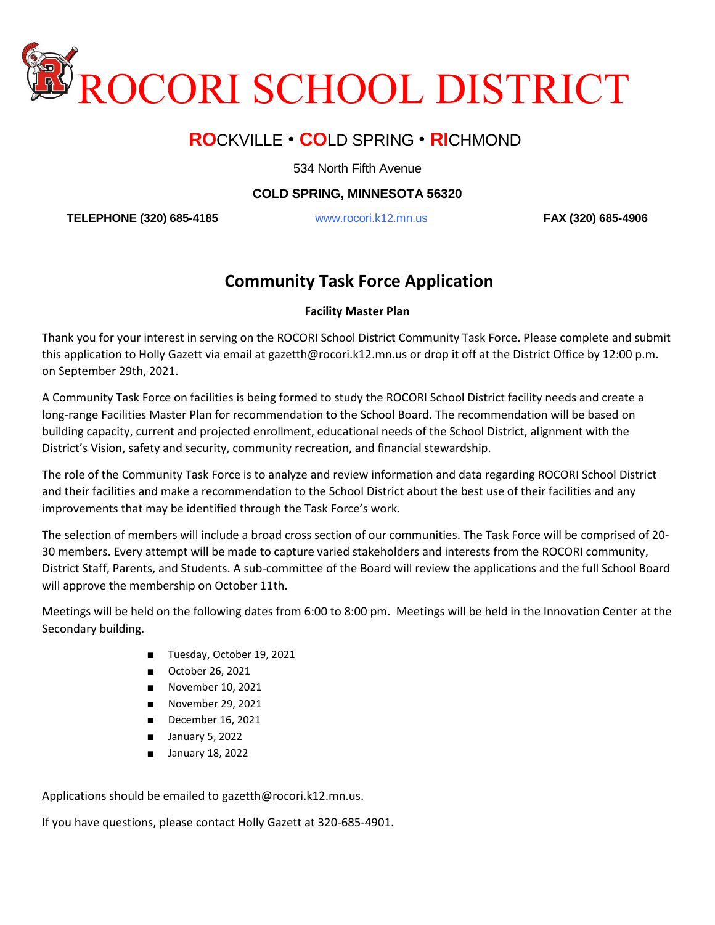

## **RO**CKVILLE • **CO**LD SPRING • **RI**CHMOND

534 North Fifth Avenue

**COLD SPRING, MINNESOTA 56320**

**TELEPHONE (320) 685-4185** www.rocori.k12.mn.us **FAX (320) 685-4906**

## **Community Task Force Application**

## **Facility Master Plan**

Thank you for your interest in serving on the ROCORI School District Community Task Force. Please complete and submit this application to Holly Gazett via email at gazetth@rocori.k12.mn.us or drop it off at the District Office by 12:00 p.m. on September 29th, 2021.

A Community Task Force on facilities is being formed to study the ROCORI School District facility needs and create a long-range Facilities Master Plan for recommendation to the School Board. The recommendation will be based on building capacity, current and projected enrollment, educational needs of the School District, alignment with the District's Vision, safety and security, community recreation, and financial stewardship.

The role of the Community Task Force is to analyze and review information and data regarding ROCORI School District and their facilities and make a recommendation to the School District about the best use of their facilities and any improvements that may be identified through the Task Force's work.

The selection of members will include a broad cross section of our communities. The Task Force will be comprised of 20- 30 members. Every attempt will be made to capture varied stakeholders and interests from the ROCORI community, District Staff, Parents, and Students. A sub-committee of the Board will review the applications and the full School Board will approve the membership on October 11th.

Meetings will be held on the following dates from 6:00 to 8:00 pm. Meetings will be held in the Innovation Center at the Secondary building.

- Tuesday, October 19, 2021
- October 26, 2021
- November 10, 2021
- November 29, 2021
- December 16, 2021
- January 5, 2022
- January 18, 2022

Applications should be emailed to gazetth@rocori.k12.mn.us.

If you have questions, please contact Holly Gazett at 320-685-4901.